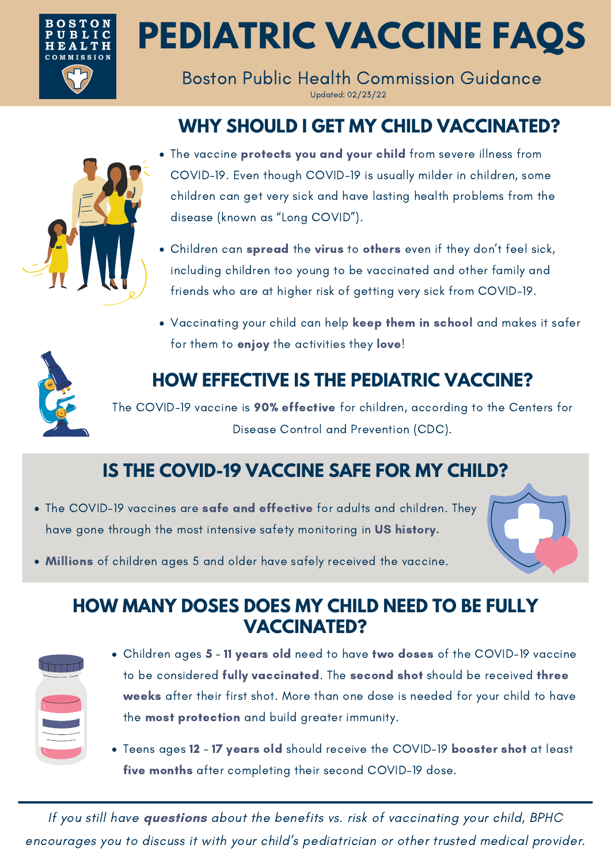

**PEDIATRIC VACCINE FAQS**

Boston Public Health Commission Guidance Updated: 02/23/22

# **WHY SHOULD I GET MY CHILD VACCINATED?**



- The vaccine protects you and your child from severe illness from COVID-19. Even though COVID-19 is usually milder in children, some children can get very sick and have lasting health problems from the disease (known as "Long COVID").
- Children can spread the virus to others even if they don't feel sick, including children too young to be vaccinated and other family and friends who are at higher risk of getting very sick from COVID-19.
- Vaccinating your child can help keep them in school and makes it safer for them to enjoy the activities they love!

# **HOW EFFECTIVE IS THE PEDIATRIC VACCINE?**

The COVID-19 vaccine is 90% effective for children, according to the Centers for Disease Control and Prevention (CDC).

# **IS THE COVID-19 VACCINE SAFE FOR MY CHILD?**

• The COVID-19 vaccines are safe and effective for adults and children. They have gone through the most intensive safety monitoring in US history.



Millions of children ages 5 and older have safely received the vaccine.

### **HOW MANY DOSES DOES MY CHILD NEED TO BE FULLY VACCINATED?**

- Children ages 5 11 years old need to have two doses of the COVID-19 vaccine to be considered fully vaccinated. The second shot should be received three weeks after their first shot. More than one dose is needed for your child to have the most protection and build greater immunity.
- Teens ages 12 17 years old should receive the COVID-19 booster shot at least five months after completing their second COVID-19 dose.

If you still have **questions** about the benefits vs. risk of vaccinating your child, BPHC encourages you to discuss it with your child's pediatrician or other trusted medical provider.